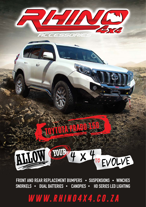

FRONT AND REAR REPLACEMENT BUMPERS . SUSPENSIONS . WINCHES SNORKELS . DUAL BATTERIES . CANOPIES . HD SERIES LED LIGHTING

WWW.RHINO4X4.CO.ZA